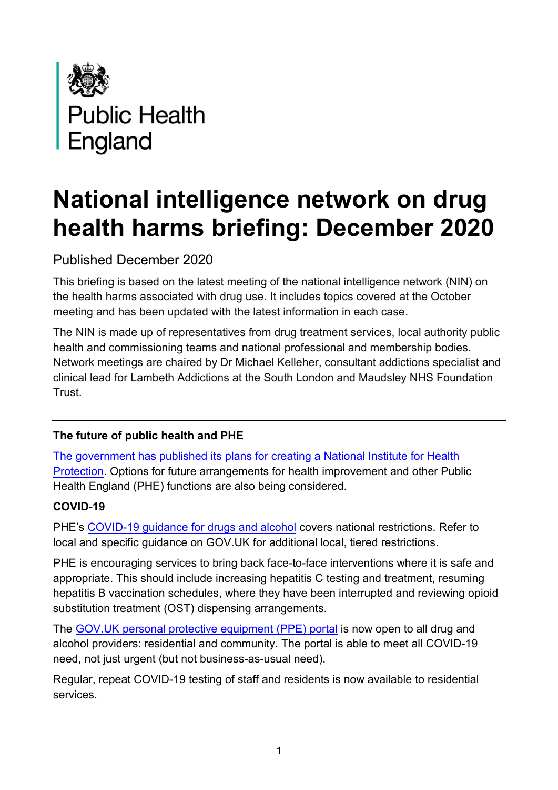

# **National intelligence network on drug health harms briefing: December 2020**

Published December 2020

This briefing is based on the latest meeting of the national intelligence network (NIN) on the health harms associated with drug use. It includes topics covered at the October meeting and has been updated with the latest information in each case.

The NIN is made up of representatives from drug treatment services, local authority public health and commissioning teams and national professional and membership bodies. Network meetings are chaired by Dr Michael Kelleher, consultant addictions specialist and clinical lead for Lambeth Addictions at the South London and Maudsley NHS Foundation Trust.

## **The future of public health and PHE**

The government has published its [plans for creating a National Institute for Health](https://www.gov.uk/government/publications/the-future-of-public-health-the-nihp-and-other-public-health-functions/the-future-of-public-health-the-national-institute-for-health-protection-and-other-public-health-functions) [Protection](https://www.gov.uk/government/publications/the-future-of-public-health-the-nihp-and-other-public-health-functions/the-future-of-public-health-the-national-institute-for-health-protection-and-other-public-health-functions). Options for future arrangements for health improvement and other Public Health England (PHE) functions are also being considered.

#### **COVID-19**

PHE's [COVID-19 guidance for drugs and alcohol](https://www.gov.uk/government/publications/covid-19-guidance-for-commissioners-and-providers-of-services-for-people-who-use-drugs-or-alcohol/covid-19-guidance-for-commissioners-and-providers-of-services-for-people-who-use-drugs-or-alcohol) covers national restrictions. Refer to local and specific guidance on GOV.UK for additional local, tiered restrictions.

PHE is encouraging services to bring back face-to-face interventions where it is safe and appropriate. This should include increasing hepatitis C testing and treatment, resuming hepatitis B vaccination schedules, where they have been interrupted and reviewing opioid substitution treatment (OST) dispensing arrangements.

The [GOV.UK personal protective equipment \(PPE\) portal](https://www.gov.uk/guidance/ppe-portal-how-to-order-emergency-personal-protective-equipment) is now open to all drug and alcohol providers: residential and community. The portal is able to meet all COVID-19 need, not just urgent (but not business-as-usual need).

Regular, repeat COVID-19 testing of staff and residents is now available to residential services.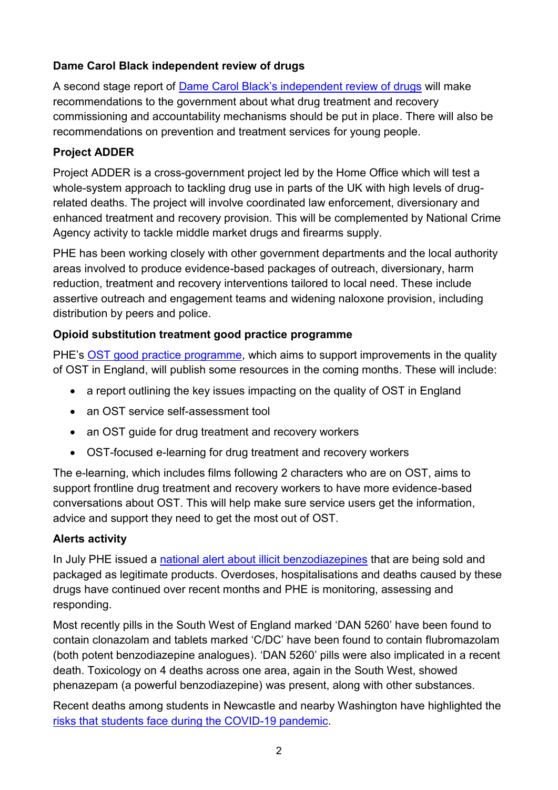## **Dame Carol Black independent review of drugs**

A second stage report of [Dame Carol Black's independent review of drugs](https://www.gov.uk/government/collections/independent-review-of-drugs-by-professor-dame-carol-black) will make recommendations to the government about what drug treatment and recovery commissioning and accountability mechanisms should be put in place. There will also be recommendations on prevention and treatment services for young people.

## **Project ADDER**

Project ADDER is a cross-government project led by the Home Office which will test a whole-system approach to tackling drug use in parts of the UK with high levels of drugrelated deaths. The project will involve coordinated law enforcement, diversionary and enhanced treatment and recovery provision. This will be complemented by National Crime Agency activity to tackle middle market drugs and firearms supply.

PHE has been working closely with other government departments and the local authority areas involved to produce evidence-based packages of outreach, diversionary, harm reduction, treatment and recovery interventions tailored to local need. These include assertive outreach and engagement teams and widening naloxone provision, including distribution by peers and police.

#### **Opioid substitution treatment good practice programme**

PHE's [OST good practice programme,](https://www.gov.uk/government/news/phe-launches-opioid-treatment-quality-improvement-programme) which aims to support improvements in the quality of OST in England, will publish some resources in the coming months. These will include:

- a report outlining the key issues impacting on the quality of OST in England
- an OST service self-assessment tool
- an OST quide for drug treatment and recovery workers
- OST-focused e-learning for drug treatment and recovery workers

The e-learning, which includes films following 2 characters who are on OST, aims to support frontline drug treatment and recovery workers to have more evidence-based conversations about OST. This will help make sure service users get the information, advice and support they need to get the most out of OST.

#### **Alerts activity**

In July PHE issued a national alert [about illicit benzodiazepines](https://www.cas.mhra.gov.uk/ViewandAcknowledgment/ViewAlert.aspx?AlertID=103075) that are being sold and packaged as legitimate products. Overdoses, hospitalisations and deaths caused by these drugs have continued over recent months and PHE is monitoring, assessing and responding.

Most recently pills in the South West of England marked 'DAN 5260' have been found to contain clonazolam and tablets marked 'C/DC' have been found to contain flubromazolam (both potent benzodiazepine analogues). 'DAN 5260' pills were also implicated in a recent death. Toxicology on 4 deaths across one area, again in the South West, showed phenazepam (a powerful benzodiazepine) was present, along with other substances.

Recent deaths among students in Newcastle and nearby Washington have highlighted the risks that students face [during the COVID-19 pandemic.](https://www.talktofrank.com/news/students-and-coronavirus)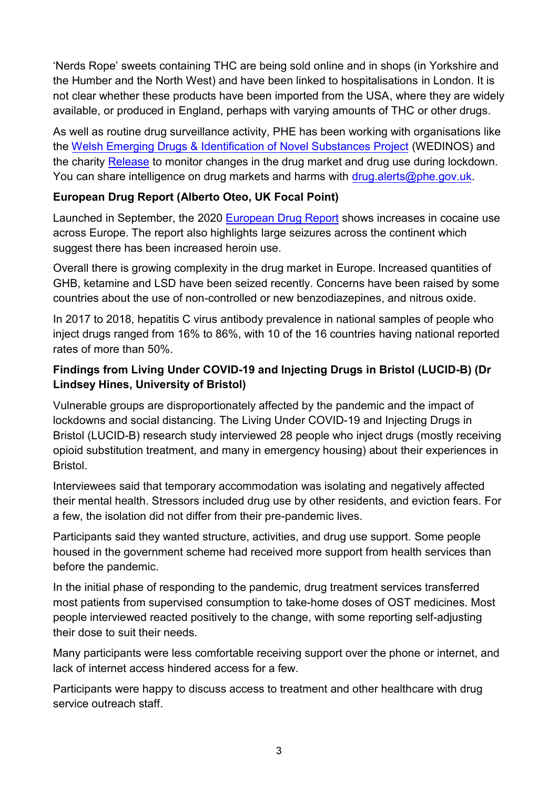'Nerds Rope' sweets containing THC are being sold online and in shops (in Yorkshire and the Humber and the North West) and have been linked to hospitalisations in London. It is not clear whether these products have been imported from the USA, where they are widely available, or produced in England, perhaps with varying amounts of THC or other drugs.

As well as routine drug surveillance activity, PHE has been working with organisations like the [Welsh Emerging Drugs & Identification of Novel Substances Project](https://www.wedinos.org/) (WEDINOS) and the charity [Release](https://www.release.org.uk/) to monitor changes in the drug market and drug use during lockdown. You can share intelligence on drug markets and harms with [drug.alerts@phe.gov.uk](mailto:drug.alerts@phe.gov.uk).

#### **European Drug Report (Alberto Oteo, UK Focal Point)**

Launched in September, the 2020 [European Drug Report](https://www.emcdda.europa.eu/edr2020_en) shows increases in cocaine use across Europe. The report also highlights large seizures across the continent which suggest there has been increased heroin use.

Overall there is growing complexity in the drug market in Europe. Increased quantities of GHB, ketamine and LSD have been seized recently. Concerns have been raised by some countries about the use of non-controlled or new benzodiazepines, and nitrous oxide.

In 2017 to 2018, hepatitis C virus antibody prevalence in national samples of people who inject drugs ranged from 16% to 86%, with 10 of the 16 countries having national reported rates of more than 50%.

## **Findings from Living Under COVID-19 and Injecting Drugs in Bristol (LUCID-B) (Dr Lindsey Hines, University of Bristol)**

Vulnerable groups are disproportionately affected by the pandemic and the impact of lockdowns and social distancing. The Living Under COVID-19 and Injecting Drugs in Bristol (LUCID-B) research study interviewed 28 people who inject drugs (mostly receiving opioid substitution treatment, and many in emergency housing) about their experiences in Bristol.

Interviewees said that temporary accommodation was isolating and negatively affected their mental health. Stressors included drug use by other residents, and eviction fears. For a few, the isolation did not differ from their pre-pandemic lives.

Participants said they wanted structure, activities, and drug use support. Some people housed in the government scheme had received more support from health services than before the pandemic.

In the initial phase of responding to the pandemic, drug treatment services transferred most patients from supervised consumption to take-home doses of OST medicines. Most people interviewed reacted positively to the change, with some reporting self-adjusting their dose to suit their needs.

Many participants were less comfortable receiving support over the phone or internet, and lack of internet access hindered access for a few.

Participants were happy to discuss access to treatment and other healthcare with drug service outreach staff.